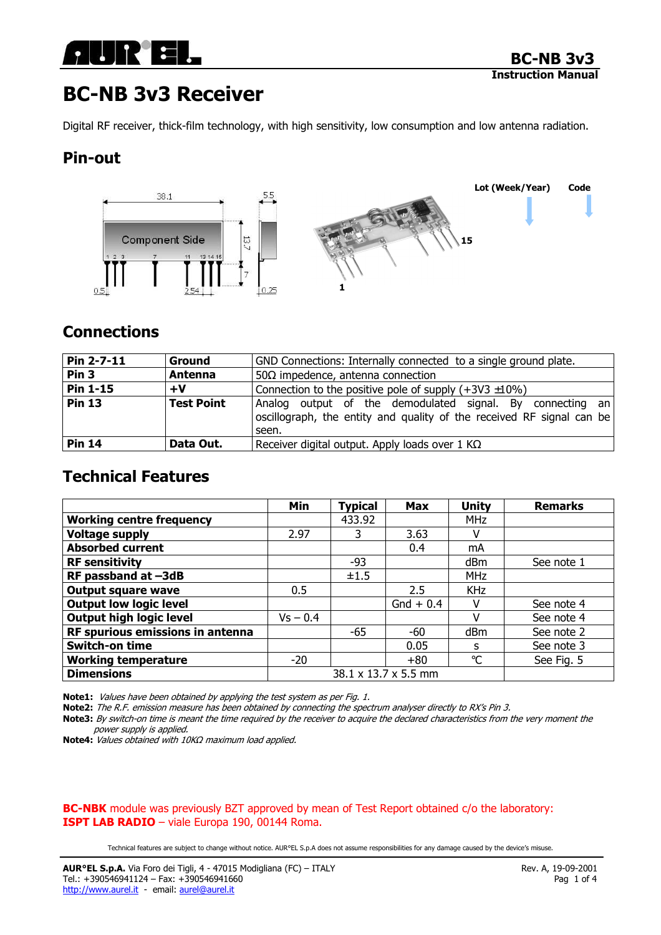

# **BC-NB 3v3 Receiver**

Digital RF receiver, thick-film technology, with high sensitivity, low consumption and low antenna radiation.

## **Pin-out**



## **Connections**

| Pin 2-7-11       | Ground            | GND Connections: Internally connected to a single ground plate.                                                                             |  |  |  |  |  |
|------------------|-------------------|---------------------------------------------------------------------------------------------------------------------------------------------|--|--|--|--|--|
| Pin <sub>3</sub> | Antenna           | 50 $\Omega$ impedence, antenna connection                                                                                                   |  |  |  |  |  |
| <b>Pin 1-15</b>  | $+V$              | Connection to the positive pole of supply $(+3\sqrt{3} \pm 10\%)$                                                                           |  |  |  |  |  |
| <b>Pin 13</b>    | <b>Test Point</b> | Analog output of the demodulated signal. By connecting an<br>oscillograph, the entity and quality of the received RF signal can be<br>seen. |  |  |  |  |  |
| <b>Pin 14</b>    | Data Out.         | Receiver digital output. Apply loads over 1 K $\Omega$                                                                                      |  |  |  |  |  |

### **Technical Features**

|                                  | Min        | <b>Typical</b>       | <b>Max</b>  | <b>Unity</b>    | <b>Remarks</b> |
|----------------------------------|------------|----------------------|-------------|-----------------|----------------|
| <b>Working centre frequency</b>  |            | 433.92               |             | <b>MHz</b>      |                |
| <b>Voltage supply</b>            | 2.97       | 3                    | 3.63        | v               |                |
| <b>Absorbed current</b>          |            |                      | 0.4         | mA              |                |
| <b>RF sensitivity</b>            |            | -93                  |             | dBm             | See note 1     |
| RF passband at -3dB              |            | ±1.5                 |             | <b>MHz</b>      |                |
| <b>Output square wave</b>        | 0.5        |                      | 2.5         | <b>KHz</b>      |                |
| <b>Output low logic level</b>    |            |                      | Gnd $+$ 0.4 | v               | See note 4     |
| <b>Output high logic level</b>   | $Vs - 0.4$ |                      |             | v               | See note 4     |
| RF spurious emissions in antenna |            | $-65$                | -60         | dBm             | See note 2     |
| <b>Switch-on time</b>            |            |                      | 0.05        | S               | See note 3     |
| <b>Working temperature</b>       | $-20$      |                      | $+80$       | $\rm ^{\circ}C$ | See Fig. 5     |
| <b>Dimensions</b>                |            | 38.1 x 13.7 x 5.5 mm |             |                 |                |

**Note1:** Values have been obtained by applying the test system as per Fig. 1.

**Note2:** The R.F. emission measure has been obtained by connecting the spectrum analyser directly to RX's Pin 3.

**Note3:** By switch-on time is meant the time required by the receiver to acquire the declared characteristics from the very moment the power supply is applied.

**Note4:** Values obtained with 10KΩ maximum load applied.

#### **BC-NBK** module was previously BZT approved by mean of Test Report obtained c/o the laboratory: **ISPT LAB RADIO** – viale Europa 190, 00144 Roma.

Technical features are subject to change without notice. AUR°EL S.p.A does not assume responsibilities for any damage caused by the device's misuse.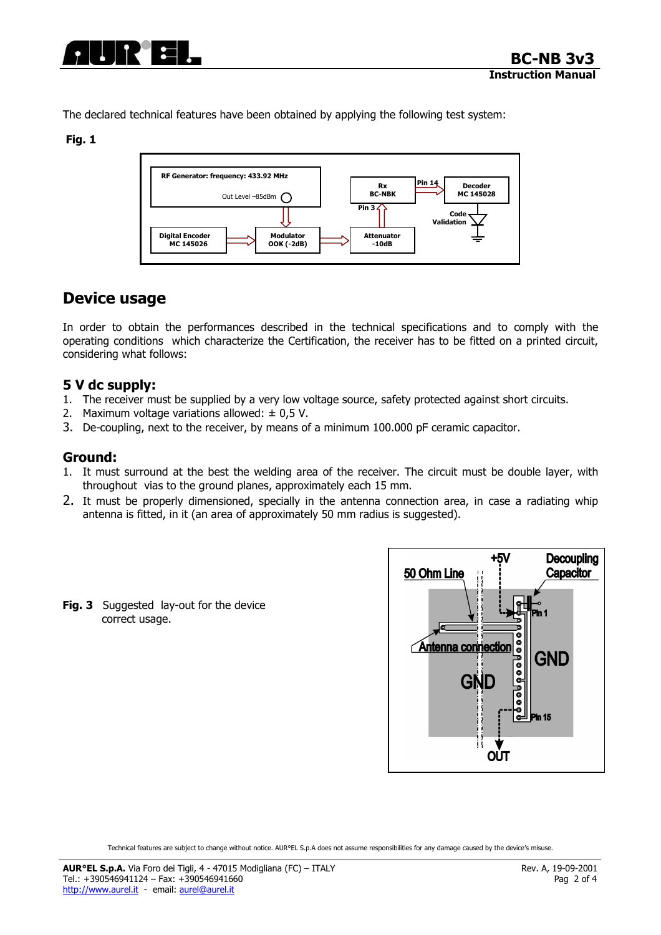

The declared technical features have been obtained by applying the following test system:

**Fig. 1** 



## **Device usage**

In order to obtain the performances described in the technical specifications and to comply with the operating conditions which characterize the Certification, the receiver has to be fitted on a printed circuit, considering what follows:

### **5 V dc supply:**

- 1. The receiver must be supplied by a very low voltage source, safety protected against short circuits.
- 2. Maximum voltage variations allowed:  $\pm$  0,5 V.
- 3. De-coupling, next to the receiver, by means of a minimum 100.000 pF ceramic capacitor.

#### **Ground:**

- 1. It must surround at the best the welding area of the receiver. The circuit must be double layer, with throughout vias to the ground planes, approximately each 15 mm.
- 2. It must be properly dimensioned, specially in the antenna connection area, in case a radiating whip antenna is fitted, in it (an area of approximately 50 mm radius is suggested).
- **Fig. 3** Suggested lay-out for the device correct usage.



Technical features are subject to change without notice. AUR°EL S.p.A does not assume responsibilities for any damage caused by the device's misuse.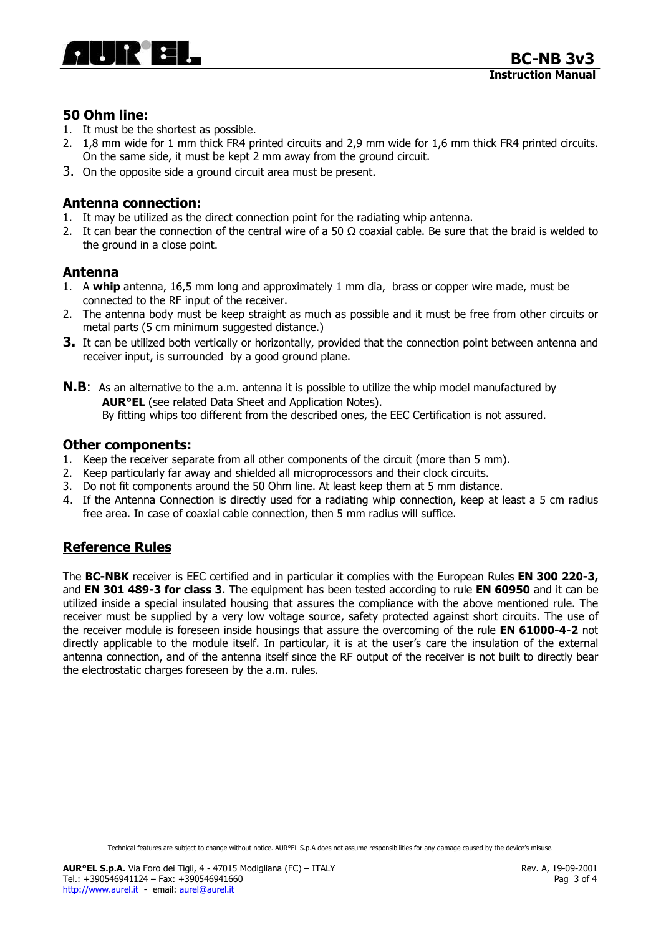



#### **50 Ohm line:**

- 1. It must be the shortest as possible.
- 2. 1,8 mm wide for 1 mm thick FR4 printed circuits and 2,9 mm wide for 1,6 mm thick FR4 printed circuits. On the same side, it must be kept 2 mm away from the ground circuit.
- 3. On the opposite side a ground circuit area must be present.

#### **Antenna connection:**

- 1. It may be utilized as the direct connection point for the radiating whip antenna.
- 2. It can bear the connection of the central wire of a 50  $\Omega$  coaxial cable. Be sure that the braid is welded to the ground in a close point.

#### **Antenna**

- 1. A **whip** antenna, 16,5 mm long and approximately 1 mm dia, brass or copper wire made, must be connected to the RF input of the receiver.
- 2. The antenna body must be keep straight as much as possible and it must be free from other circuits or metal parts (5 cm minimum suggested distance.)
- **3.** It can be utilized both vertically or horizontally, provided that the connection point between antenna and receiver input, is surrounded by a good ground plane.

**N.B:** As an alternative to the a.m. antenna it is possible to utilize the whip model manufactured by **AUR°EL** (see related Data Sheet and Application Notes). By fitting whips too different from the described ones, the EEC Certification is not assured.

#### **Other components:**

- 1. Keep the receiver separate from all other components of the circuit (more than 5 mm).
- 2. Keep particularly far away and shielded all microprocessors and their clock circuits.
- 3. Do not fit components around the 50 Ohm line. At least keep them at 5 mm distance.
- 4. If the Antenna Connection is directly used for a radiating whip connection, keep at least a 5 cm radius free area. In case of coaxial cable connection, then 5 mm radius will suffice.

### **Reference Rules**

The **BC-NBK** receiver is EEC certified and in particular it complies with the European Rules **EN 300 220-3,**  and **EN 301 489-3 for class 3.** The equipment has been tested according to rule **EN 60950** and it can be utilized inside a special insulated housing that assures the compliance with the above mentioned rule. The receiver must be supplied by a very low voltage source, safety protected against short circuits. The use of the receiver module is foreseen inside housings that assure the overcoming of the rule **EN 61000-4-2** not directly applicable to the module itself. In particular, it is at the user's care the insulation of the external antenna connection, and of the antenna itself since the RF output of the receiver is not built to directly bear the electrostatic charges foreseen by the a.m. rules.